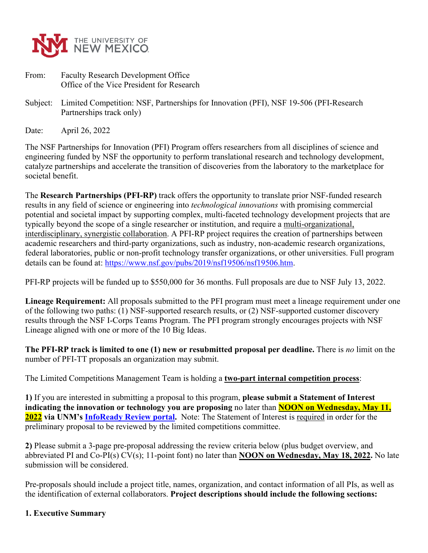

- From: Faculty Research Development Office Office of the Vice President for Research
- Subject: Limited Competition: NSF, Partnerships for Innovation (PFI), NSF 19-506 (PFI-Research Partnerships track only)

Date: April 26, 2022

The NSF Partnerships for Innovation (PFI) Program offers researchers from all disciplines of science and engineering funded by NSF the opportunity to perform translational research and technology development, catalyze partnerships and accelerate the transition of discoveries from the laboratory to the marketplace for societal benefit.

The **Research Partnerships (PFI-RP)** track offers the opportunity to translate prior NSF-funded research results in any field of science or engineering into *technological innovations* with promising commercial potential and societal impact by supporting complex, multi-faceted technology development projects that are typically beyond the scope of a single researcher or institution, and require a multi-organizational, interdisciplinary, synergistic collaboration. A PFI-RP project requires the creation of partnerships between academic researchers and third-party organizations, such as industry, non-academic research organizations, federal laboratories, public or non-profit technology transfer organizations, or other universities. Full program details can be found at: [https://www.nsf.gov/pubs/2019/nsf19506/nsf19506.htm.](https://www.nsf.gov/pubs/2019/nsf19506/nsf19506.htm)

PFI-RP projects will be funded up to \$550,000 for 36 months. Full proposals are due to NSF July 13, 2022.

**Lineage Requirement:** All proposals submitted to the PFI program must meet a lineage requirement under one of the following two paths: (1) NSF-supported research results, or (2) NSF-supported customer discovery results through the NSF I-Corps Teams Program. The PFI program strongly encourages projects with NSF Lineage aligned with one or more of the 10 Big Ideas.

**The PFI-RP track is limited to one (1) new or resubmitted proposal per deadline.** There is *no* limit on the number of PFI-TT proposals an organization may submit.

The Limited Competitions Management Team is holding a **two-part internal competition process**:

**1)** If you are interested in submitting a proposal to this program, **please submit a Statement of Interest indicating the innovation or technology you are proposing** no later than **NOON on Wednesday, May 11, 2022 via UNM's [InfoReady Review portal.](https://unm.infoready4.com/)** Note: The Statement of Interest is required in order for the preliminary proposal to be reviewed by the limited competitions committee.

**2)** Please submit a 3-page pre-proposal addressing the review criteria below (plus budget overview, and abbreviated PI and Co-PI(s) CV(s); 11-point font) no later than **NOON on Wednesday, May 18, 2022.** No late submission will be considered.

Pre-proposals should include a project title, names, organization, and contact information of all PIs, as well as the identification of external collaborators. **Project descriptions should include the following sections:**

#### **1. Executive Summary**